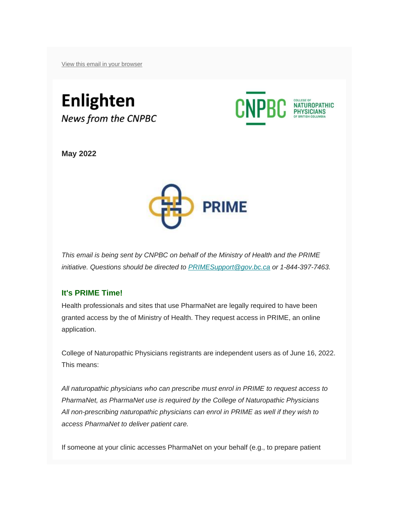[View this email in your browser](*|ARCHIVE|*)

# **Enlighten** News from the CNPBC



**May 2022**



*This email is being sent by CNPBC on behalf of the Ministry of Health and the PRIME initiative. Questions should be directed to [PRIMESupport@gov.bc.ca](mailto:PRIMESupport@gov.bc.ca) or 1-844-397-7463.*

# **It's PRIME Time!**

Health professionals and sites that use PharmaNet are legally required to have been granted access by the of Ministry of Health. They request access in PRIME, an online application.

College of Naturopathic Physicians registrants are independent users as of June 16, 2022. This means:

*All naturopathic physicians who can prescribe must enrol in PRIME to request access to PharmaNet, as PharmaNet use is required by the College of Naturopathic Physicians All non-prescribing naturopathic physicians can enrol in PRIME as well if they wish to access PharmaNet to deliver patient care.*

If someone at your clinic accesses PharmaNet on your behalf (e.g., to prepare patient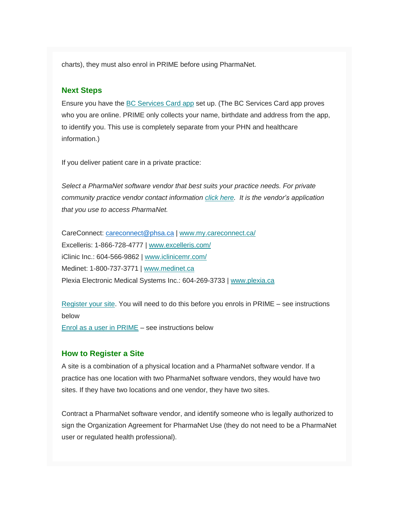charts), they must also enrol in PRIME before using PharmaNet.

## **Next Steps**

Ensure you have the [BC Services Card app](https://www2.gov.bc.ca/gov/content/governments/government-id/bcservicescardapp/setup/download-app) set up. (The BC Services Card app proves who you are online. PRIME only collects your name, birthdate and address from the app, to identify you. This use is completely separate from your PHN and healthcare information.)

If you deliver patient care in a private practice:

*Select a PharmaNet software vendor that best suits your practice needs. For private community practice vendor contact information [click here.](https://www2.gov.bc.ca/gov/content/health/practitioner-professional-resources/system-access/health-practice-access-to-pharmanet) It is the vendor's application that you use to access PharmaNet.*

CareConnect: [careconnect@phsa.ca](mailto:careconnect@phsa.ca) | [www.my.careconnect.ca/](http://www.my.careconnect.ca/) Excelleris: 1-866-728-4777 | [www.excelleris.com/](http://www.excelleris.com/) iClinic Inc.: 604-566-9862 | [www.iclinicemr.com/](http://www.iclinicemr.com/) Medinet: 1-800-737-3771 | [www.medinet.ca](http://www.medinet.ca/) Plexia Electronic Medical Systems Inc.: 604-269-3733 | [www.plexia.ca](http://www.plexia.ca/)

[Register your site.](https://pharmanetenrolment.gov.bc.ca/site) You will need to do this before you enrols in PRIME – see instructions below [Enrol as a user in PRIME](https://pharmanetenrolment.gov.bc.ca/info) – see instructions below

#### **How to Register a Site**

A site is a combination of a physical location and a PharmaNet software vendor. If a practice has one location with two PharmaNet software vendors, they would have two sites. If they have two locations and one vendor, they have two sites.

Contract a PharmaNet software vendor, and identify someone who is legally authorized to sign the Organization Agreement for PharmaNet Use (they do not need to be a PharmaNet user or regulated health professional).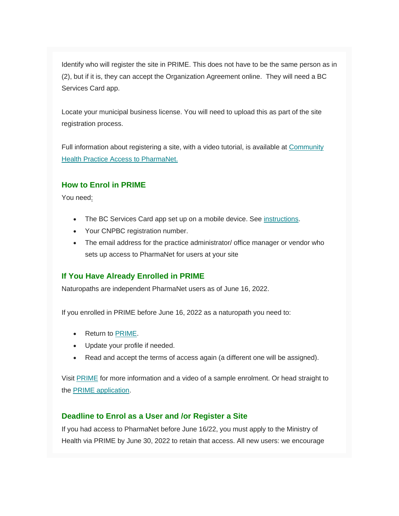Identify who will register the site in PRIME. This does not have to be the same person as in (2), but if it is, they can accept the Organization Agreement online. They will need a BC Services Card app.

Locate your municipal business license. You will need to upload this as part of the site registration process.

Full information about registering a site, with a video tutorial, is available at Community [Health Practice Access to PharmaNet.](https://www2.gov.bc.ca/gov/content?id=F17EA71ACE8B4FA3A3A38D2CEA77C088)

# **How to Enrol in PRIME**

You need:

- The BC Services Card app set up on a mobile device. See [instructions.](https://www2.gov.bc.ca/gov/content?id=034E906146794F84A00535A3F9354913)
- Your CNPBC registration number.
- The email address for the practice administrator/ office manager or vendor who sets up access to PharmaNet for users at your site

# **If You Have Already Enrolled in PRIME**

Naturopaths are independent PharmaNet users as of June 16, 2022.

If you enrolled in PRIME before June 16, 2022 as a naturopath you need to:

- Return to [PRIME.](https://www2.gov.bc.ca/gov/content/health/practitioner-professional-resources/pharmacare/pharmanet-bc-s-drug-information-network/prime/prime-dates)
- Update your profile if needed.
- Read and accept the terms of access again (a different one will be assigned).

Visit [PRIME](https://www2.gov.bc.ca/gov/content/health/practitioner-professional-resources/pharmacare/pharmanet-bc-s-drug-information-network/prime) for more information and a video of a sample enrolment. Or head straight to the [PRIME application.](https://pharmanetenrolment.gov.bc.ca/info)

# **Deadline to Enrol as a User and /or Register a Site**

If you had access to PharmaNet before June 16/22, you must apply to the Ministry of Health via PRIME by June 30, 2022 to retain that access. All new users: we encourage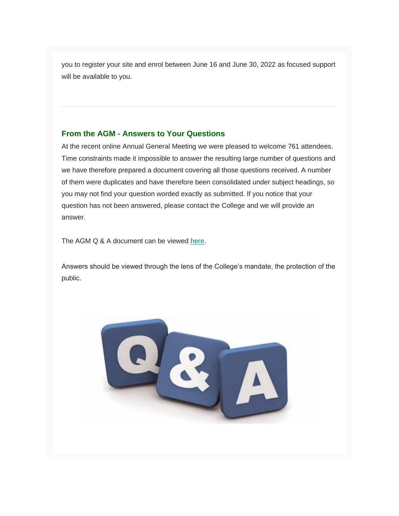you to register your site and enrol between June 16 and June 30, 2022 as focused support will be available to you.

## **From the AGM - Answers to Your Questions**

At the recent online Annual General Meeting we were pleased to welcome 761 attendees. Time constraints made it impossible to answer the resulting large number of questions and we have therefore prepared a document covering all those questions received. A number of them were duplicates and have therefore been consolidated under subject headings, so you may not find your question worded exactly as submitted. If you notice that your question has not been answered, please contact the College and we will provide an answer.

The AGM Q & A document can be viewed [here.](https://cnpbc.bc.ca/wp-content/uploads/2022-05-25-AGM-QA-final-002-2.pdf)

Answers should be viewed through the lens of the College's mandate, the protection of the public.

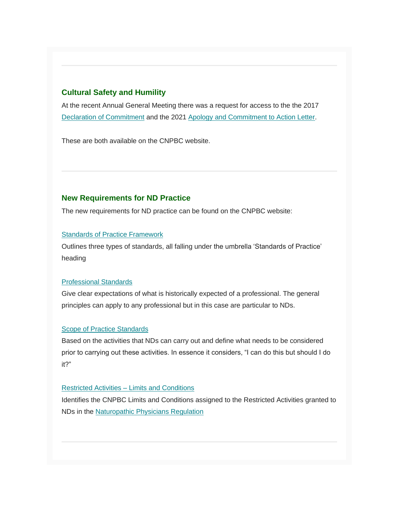## **Cultural Safety and Humility**

At the recent Annual General Meeting there was a request for access to the the 2017 [Declaration of Commitment](https://bchealthregulators.ca/wp-content/uploads/2020/05/Cultural_Safety_and_Humility_Declaration_of_Commitment.png) and the 2021 [Apology and Commitment to Action Letter.](https://cnpbc.bc.ca/wp-content/uploads/Joint-Statement-Final.pdf)

These are both available on the CNPBC website.

## **New Requirements for ND Practice**

The new requirements for ND practice can be found on the CNPBC website:

### [Standards of Practice Framework](https://cnpbc.bc.ca/wp-content/uploads/Standards-of-Practice-Framework-final.pdf)

Outlines three types of standards, all falling under the umbrella 'Standards of Practice' heading

### [Professional Standards](https://cnpbc.bc.ca/wp-content/uploads/Professional-Standards-final.pdf)

Give clear expectations of what is historically expected of a professional. The general principles can apply to any professional but in this case are particular to NDs.

### [Scope of Practice Standards](https://cnpbc.bc.ca/wp-content/uploads/Scope-of-Practice-Standards-final.pdf)

Based on the activities that NDs can carry out and define what needs to be considered prior to carrying out these activities. In essence it considers, "I can do this but should I do it?"

#### [Restricted Activities –](https://cnpbc.bc.ca/wp-content/uploads/2022-05-20-Restricted-Activities-1.pdf) Limits and Conditions

Identifies the CNPBC Limits and Conditions assigned to the Restricted Activities granted to NDs in the [Naturopathic Physicians Regulation](https://www.bclaws.gov.bc.ca/civix/document/id/complete/statreg/282_2008)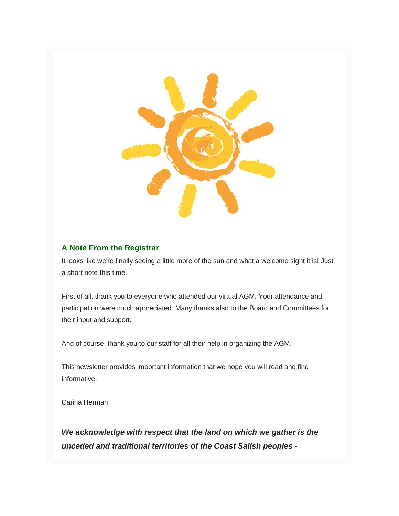

# **A Note From the Registrar**

It looks like we're finally seeing a little more of the sun and what a welcome sight it is! Just a short note this time.

First of all, thank you to everyone who attended our virtual AGM. Your attendance and participation were much appreciated. Many thanks also to the Board and Committees for their input and support.

And of course, thank you to our staff for all their help in organizing the AGM.

This newsletter provides important information that we hope you will read and find informative.

Carina Herman

*We acknowledge with respect that the land on which we gather is the unceded and traditional territories of the Coast Salish peoples -*